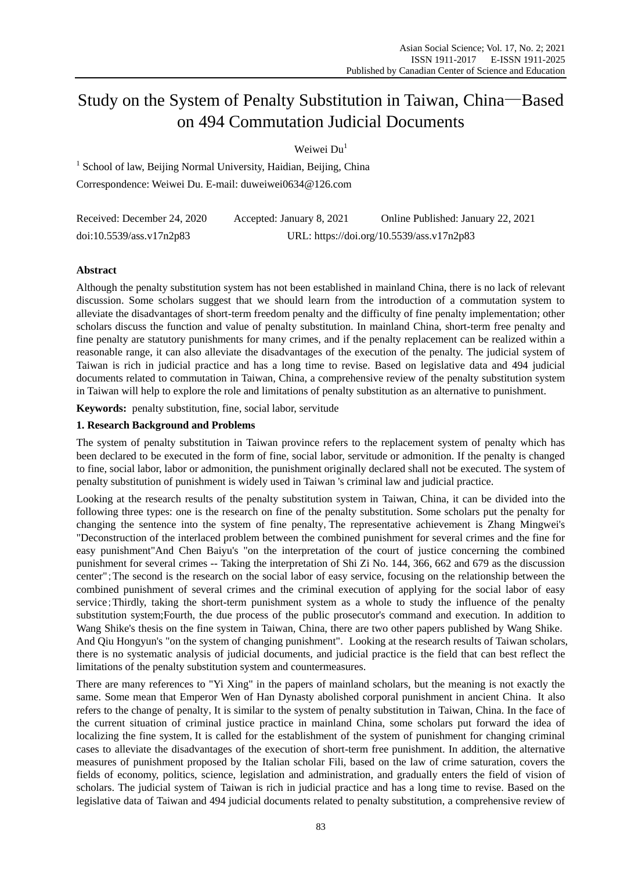# Study on the System of Penalty Substitution in Taiwan, China—Based on 494 Commutation Judicial Documents

Weiwei Du<sup>1</sup>

<sup>1</sup> School of law, Beijing Normal University, Haidian, Beijing, China Correspondence: Weiwei Du. E-mail: duweiwei0634@126.com

| Received: December 24, 2020 | Accepted: January 8, 2021                 | Online Published: January 22, 2021 |  |
|-----------------------------|-------------------------------------------|------------------------------------|--|
| doi:10.5539/ass.v17n2p83    | URL: https://doi.org/10.5539/ass.v17n2p83 |                                    |  |

# **Abstract**

Although the penalty substitution system has not been established in mainland China, there is no lack of relevant discussion. Some scholars suggest that we should learn from the introduction of a commutation system to alleviate the disadvantages of short-term freedom penalty and the difficulty of fine penalty implementation; other scholars discuss the function and value of penalty substitution. In mainland China, short-term free penalty and fine penalty are statutory punishments for many crimes, and if the penalty replacement can be realized within a reasonable range, it can also alleviate the disadvantages of the execution of the penalty. The judicial system of Taiwan is rich in judicial practice and has a long time to revise. Based on legislative data and 494 judicial documents related to commutation in Taiwan, China, a comprehensive review of the penalty substitution system in Taiwan will help to explore the role and limitations of penalty substitution as an alternative to punishment.

**Keywords:** penalty substitution, fine, social labor, servitude

# **1. Research Background and Problems**

The system of penalty substitution in Taiwan province refers to the replacement system of penalty which has been declared to be executed in the form of fine, social labor, servitude or admonition. If the penalty is changed to fine, social labor, labor or admonition, the punishment originally declared shall not be executed. The system of penalty substitution of punishment is widely used in Taiwan 's criminal law and judicial practice.

Looking at the research results of the penalty substitution system in Taiwan, China, it can be divided into the following three types: one is the research on fine of the penalty substitution. Some scholars put the penalty for changing the sentence into the system of fine penalty,The representative achievement is Zhang Mingwei's "Deconstruction of the interlaced problem between the combined punishment for several crimes and the fine for easy punishment"And Chen Baiyu's "on the interpretation of the court of justice concerning the combined punishment for several crimes -- Taking the interpretation of Shi Zi No. 144, 366, 662 and 679 as the discussion center";The second is the research on the social labor of easy service, focusing on the relationship between the combined punishment of several crimes and the criminal execution of applying for the social labor of easy service;Thirdly, taking the short-term punishment system as a whole to study the influence of the penalty substitution system;Fourth, the due process of the public prosecutor's command and execution. In addition to Wang Shike's thesis on the fine system in Taiwan, China, there are two other papers published by Wang Shike. And Qiu Hongyun's "on the system of changing punishment". Looking at the research results of Taiwan scholars, there is no systematic analysis of judicial documents, and judicial practice is the field that can best reflect the limitations of the penalty substitution system and countermeasures.

There are many references to "Yi Xing" in the papers of mainland scholars, but the meaning is not exactly the same. Some mean that Emperor Wen of Han Dynasty abolished corporal punishment in ancient China. It also refers to the change of penalty, It is similar to the system of penalty substitution in Taiwan, China. In the face of the current situation of criminal justice practice in mainland China, some scholars put forward the idea of localizing the fine system, It is called for the establishment of the system of punishment for changing criminal cases to alleviate the disadvantages of the execution of short-term free punishment. In addition, the alternative measures of punishment proposed by the Italian scholar Fili, based on the law of crime saturation, covers the fields of economy, politics, science, legislation and administration, and gradually enters the field of vision of scholars. The judicial system of Taiwan is rich in judicial practice and has a long time to revise. Based on the legislative data of Taiwan and 494 judicial documents related to penalty substitution, a comprehensive review of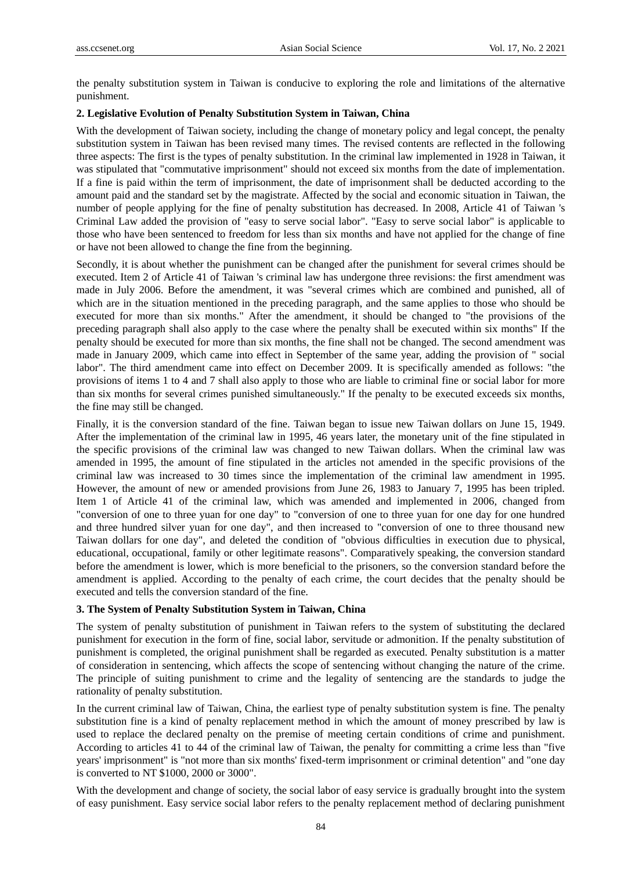the penalty substitution system in Taiwan is conducive to exploring the role and limitations of the alternative punishment.

#### **2. Legislative Evolution of Penalty Substitution System in Taiwan, China**

With the development of Taiwan society, including the change of monetary policy and legal concept, the penalty substitution system in Taiwan has been revised many times. The revised contents are reflected in the following three aspects: The first is the types of penalty substitution. In the criminal law implemented in 1928 in Taiwan, it was stipulated that "commutative imprisonment" should not exceed six months from the date of implementation. If a fine is paid within the term of imprisonment, the date of imprisonment shall be deducted according to the amount paid and the standard set by the magistrate. Affected by the social and economic situation in Taiwan, the number of people applying for the fine of penalty substitution has decreased. In 2008, Article 41 of Taiwan 's Criminal Law added the provision of "easy to serve social labor". "Easy to serve social labor" is applicable to those who have been sentenced to freedom for less than six months and have not applied for the change of fine or have not been allowed to change the fine from the beginning.

Secondly, it is about whether the punishment can be changed after the punishment for several crimes should be executed. Item 2 of Article 41 of Taiwan 's criminal law has undergone three revisions: the first amendment was made in July 2006. Before the amendment, it was "several crimes which are combined and punished, all of which are in the situation mentioned in the preceding paragraph, and the same applies to those who should be executed for more than six months." After the amendment, it should be changed to "the provisions of the preceding paragraph shall also apply to the case where the penalty shall be executed within six months" If the penalty should be executed for more than six months, the fine shall not be changed. The second amendment was made in January 2009, which came into effect in September of the same year, adding the provision of " social labor". The third amendment came into effect on December 2009. It is specifically amended as follows: "the provisions of items 1 to 4 and 7 shall also apply to those who are liable to criminal fine or social labor for more than six months for several crimes punished simultaneously." If the penalty to be executed exceeds six months, the fine may still be changed.

Finally, it is the conversion standard of the fine. Taiwan began to issue new Taiwan dollars on June 15, 1949. After the implementation of the criminal law in 1995, 46 years later, the monetary unit of the fine stipulated in the specific provisions of the criminal law was changed to new Taiwan dollars. When the criminal law was amended in 1995, the amount of fine stipulated in the articles not amended in the specific provisions of the criminal law was increased to 30 times since the implementation of the criminal law amendment in 1995. However, the amount of new or amended provisions from June 26, 1983 to January 7, 1995 has been tripled. Item 1 of Article 41 of the criminal law, which was amended and implemented in 2006, changed from "conversion of one to three yuan for one day" to "conversion of one to three yuan for one day for one hundred and three hundred silver yuan for one day", and then increased to "conversion of one to three thousand new Taiwan dollars for one day", and deleted the condition of "obvious difficulties in execution due to physical, educational, occupational, family or other legitimate reasons". Comparatively speaking, the conversion standard before the amendment is lower, which is more beneficial to the prisoners, so the conversion standard before the amendment is applied. According to the penalty of each crime, the court decides that the penalty should be executed and tells the conversion standard of the fine.

#### **3. The System of Penalty Substitution System in Taiwan, China**

The system of penalty substitution of punishment in Taiwan refers to the system of substituting the declared punishment for execution in the form of fine, social labor, servitude or admonition. If the penalty substitution of punishment is completed, the original punishment shall be regarded as executed. Penalty substitution is a matter of consideration in sentencing, which affects the scope of sentencing without changing the nature of the crime. The principle of suiting punishment to crime and the legality of sentencing are the standards to judge the rationality of penalty substitution.

In the current criminal law of Taiwan, China, the earliest type of penalty substitution system is fine. The penalty substitution fine is a kind of penalty replacement method in which the amount of money prescribed by law is used to replace the declared penalty on the premise of meeting certain conditions of crime and punishment. According to articles 41 to 44 of the criminal law of Taiwan, the penalty for committing a crime less than "five years' imprisonment" is "not more than six months' fixed-term imprisonment or criminal detention" and "one day is converted to NT \$1000, 2000 or 3000".

With the development and change of society, the social labor of easy service is gradually brought into the system of easy punishment. Easy service social labor refers to the penalty replacement method of declaring punishment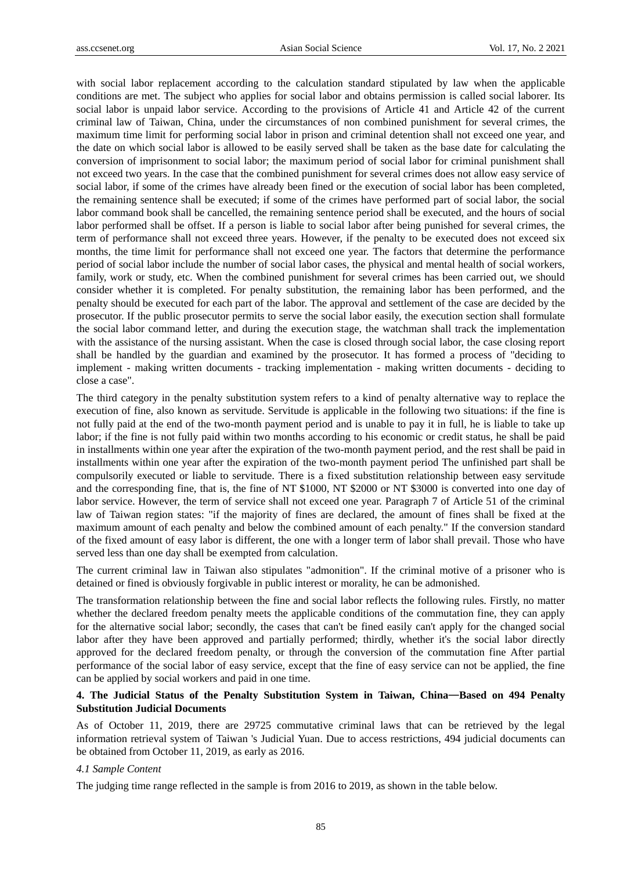with social labor replacement according to the calculation standard stipulated by law when the applicable conditions are met. The subject who applies for social labor and obtains permission is called social laborer. Its social labor is unpaid labor service. According to the provisions of Article 41 and Article 42 of the current criminal law of Taiwan, China, under the circumstances of non combined punishment for several crimes, the maximum time limit for performing social labor in prison and criminal detention shall not exceed one year, and the date on which social labor is allowed to be easily served shall be taken as the base date for calculating the conversion of imprisonment to social labor; the maximum period of social labor for criminal punishment shall not exceed two years. In the case that the combined punishment for several crimes does not allow easy service of social labor, if some of the crimes have already been fined or the execution of social labor has been completed, the remaining sentence shall be executed; if some of the crimes have performed part of social labor, the social labor command book shall be cancelled, the remaining sentence period shall be executed, and the hours of social labor performed shall be offset. If a person is liable to social labor after being punished for several crimes, the term of performance shall not exceed three years. However, if the penalty to be executed does not exceed six months, the time limit for performance shall not exceed one year. The factors that determine the performance period of social labor include the number of social labor cases, the physical and mental health of social workers, family, work or study, etc. When the combined punishment for several crimes has been carried out, we should consider whether it is completed. For penalty substitution, the remaining labor has been performed, and the penalty should be executed for each part of the labor. The approval and settlement of the case are decided by the prosecutor. If the public prosecutor permits to serve the social labor easily, the execution section shall formulate the social labor command letter, and during the execution stage, the watchman shall track the implementation with the assistance of the nursing assistant. When the case is closed through social labor, the case closing report shall be handled by the guardian and examined by the prosecutor. It has formed a process of "deciding to implement - making written documents - tracking implementation - making written documents - deciding to close a case".

The third category in the penalty substitution system refers to a kind of penalty alternative way to replace the execution of fine, also known as servitude. Servitude is applicable in the following two situations: if the fine is not fully paid at the end of the two-month payment period and is unable to pay it in full, he is liable to take up labor; if the fine is not fully paid within two months according to his economic or credit status, he shall be paid in installments within one year after the expiration of the two-month payment period, and the rest shall be paid in installments within one year after the expiration of the two-month payment period The unfinished part shall be compulsorily executed or liable to servitude. There is a fixed substitution relationship between easy servitude and the corresponding fine, that is, the fine of NT \$1000, NT \$2000 or NT \$3000 is converted into one day of labor service. However, the term of service shall not exceed one year. Paragraph 7 of Article 51 of the criminal law of Taiwan region states: "if the majority of fines are declared, the amount of fines shall be fixed at the maximum amount of each penalty and below the combined amount of each penalty." If the conversion standard of the fixed amount of easy labor is different, the one with a longer term of labor shall prevail. Those who have served less than one day shall be exempted from calculation.

The current criminal law in Taiwan also stipulates "admonition". If the criminal motive of a prisoner who is detained or fined is obviously forgivable in public interest or morality, he can be admonished.

The transformation relationship between the fine and social labor reflects the following rules. Firstly, no matter whether the declared freedom penalty meets the applicable conditions of the commutation fine, they can apply for the alternative social labor; secondly, the cases that can't be fined easily can't apply for the changed social labor after they have been approved and partially performed; thirdly, whether it's the social labor directly approved for the declared freedom penalty, or through the conversion of the commutation fine After partial performance of the social labor of easy service, except that the fine of easy service can not be applied, the fine can be applied by social workers and paid in one time.

## **4. The Judicial Status of the Penalty Substitution System in Taiwan, China**—**Based on 494 Penalty Substitution Judicial Documents**

As of October 11, 2019, there are 29725 commutative criminal laws that can be retrieved by the legal information retrieval system of Taiwan 's Judicial Yuan. Due to access restrictions, 494 judicial documents can be obtained from October 11, 2019, as early as 2016.

#### *4.1 Sample Content*

The judging time range reflected in the sample is from 2016 to 2019, as shown in the table below.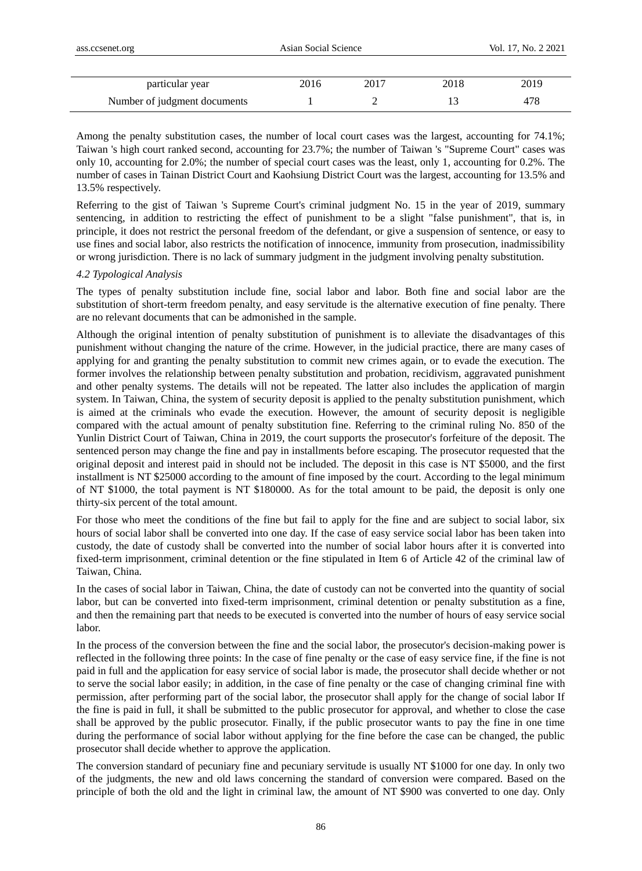| ass.ccsenet.org              | Asian Social Science |      |      | Vol. 17, No. 2 2021 |
|------------------------------|----------------------|------|------|---------------------|
|                              |                      |      |      |                     |
| particular year              | 2016                 | 2017 | 2018 | 2019                |
| Number of judgment documents |                      |      |      | 478                 |

Among the penalty substitution cases, the number of local court cases was the largest, accounting for 74.1%; Taiwan 's high court ranked second, accounting for 23.7%; the number of Taiwan 's "Supreme Court" cases was only 10, accounting for 2.0%; the number of special court cases was the least, only 1, accounting for 0.2%. The number of cases in Tainan District Court and Kaohsiung District Court was the largest, accounting for 13.5% and 13.5% respectively.

Referring to the gist of Taiwan 's Supreme Court's criminal judgment No. 15 in the year of 2019, summary sentencing, in addition to restricting the effect of punishment to be a slight "false punishment", that is, in principle, it does not restrict the personal freedom of the defendant, or give a suspension of sentence, or easy to use fines and social labor, also restricts the notification of innocence, immunity from prosecution, inadmissibility or wrong jurisdiction. There is no lack of summary judgment in the judgment involving penalty substitution.

## *4.2 Typological Analysis*

The types of penalty substitution include fine, social labor and labor. Both fine and social labor are the substitution of short-term freedom penalty, and easy servitude is the alternative execution of fine penalty. There are no relevant documents that can be admonished in the sample.

Although the original intention of penalty substitution of punishment is to alleviate the disadvantages of this punishment without changing the nature of the crime. However, in the judicial practice, there are many cases of applying for and granting the penalty substitution to commit new crimes again, or to evade the execution. The former involves the relationship between penalty substitution and probation, recidivism, aggravated punishment and other penalty systems. The details will not be repeated. The latter also includes the application of margin system. In Taiwan, China, the system of security deposit is applied to the penalty substitution punishment, which is aimed at the criminals who evade the execution. However, the amount of security deposit is negligible compared with the actual amount of penalty substitution fine. Referring to the criminal ruling No. 850 of the Yunlin District Court of Taiwan, China in 2019, the court supports the prosecutor's forfeiture of the deposit. The sentenced person may change the fine and pay in installments before escaping. The prosecutor requested that the original deposit and interest paid in should not be included. The deposit in this case is NT \$5000, and the first installment is NT \$25000 according to the amount of fine imposed by the court. According to the legal minimum of NT \$1000, the total payment is NT \$180000. As for the total amount to be paid, the deposit is only one thirty-six percent of the total amount.

For those who meet the conditions of the fine but fail to apply for the fine and are subject to social labor, six hours of social labor shall be converted into one day. If the case of easy service social labor has been taken into custody, the date of custody shall be converted into the number of social labor hours after it is converted into fixed-term imprisonment, criminal detention or the fine stipulated in Item 6 of Article 42 of the criminal law of Taiwan, China.

In the cases of social labor in Taiwan, China, the date of custody can not be converted into the quantity of social labor, but can be converted into fixed-term imprisonment, criminal detention or penalty substitution as a fine, and then the remaining part that needs to be executed is converted into the number of hours of easy service social labor.

In the process of the conversion between the fine and the social labor, the prosecutor's decision-making power is reflected in the following three points: In the case of fine penalty or the case of easy service fine, if the fine is not paid in full and the application for easy service of social labor is made, the prosecutor shall decide whether or not to serve the social labor easily; in addition, in the case of fine penalty or the case of changing criminal fine with permission, after performing part of the social labor, the prosecutor shall apply for the change of social labor If the fine is paid in full, it shall be submitted to the public prosecutor for approval, and whether to close the case shall be approved by the public prosecutor. Finally, if the public prosecutor wants to pay the fine in one time during the performance of social labor without applying for the fine before the case can be changed, the public prosecutor shall decide whether to approve the application.

The conversion standard of pecuniary fine and pecuniary servitude is usually NT \$1000 for one day. In only two of the judgments, the new and old laws concerning the standard of conversion were compared. Based on the principle of both the old and the light in criminal law, the amount of NT \$900 was converted to one day. Only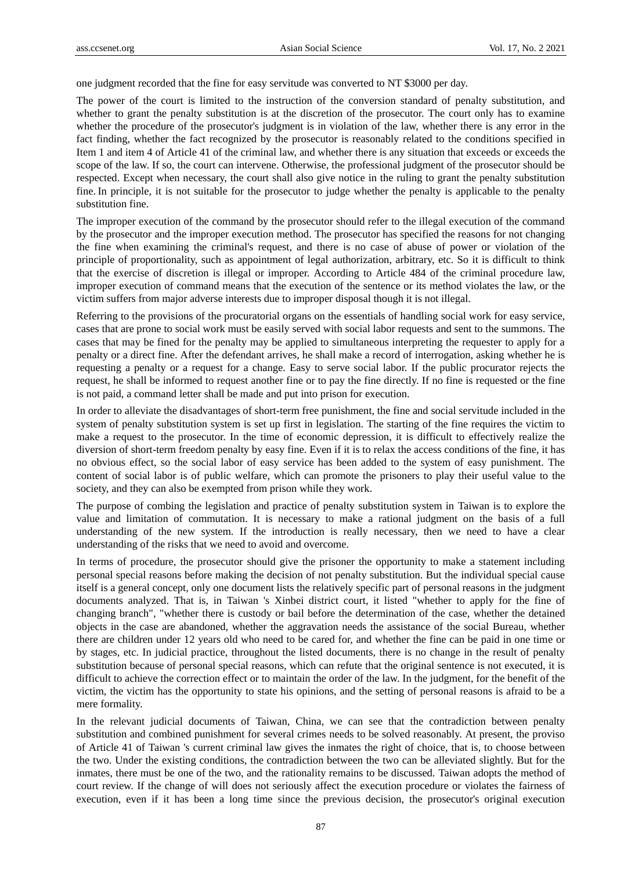one judgment recorded that the fine for easy servitude was converted to NT \$3000 per day.

The power of the court is limited to the instruction of the conversion standard of penalty substitution, and whether to grant the penalty substitution is at the discretion of the prosecutor. The court only has to examine whether the procedure of the prosecutor's judgment is in violation of the law, whether there is any error in the fact finding, whether the fact recognized by the prosecutor is reasonably related to the conditions specified in Item 1 and item 4 of Article 41 of the criminal law, and whether there is any situation that exceeds or exceeds the scope of the law. If so, the court can intervene. Otherwise, the professional judgment of the prosecutor should be respected. Except when necessary, the court shall also give notice in the ruling to grant the penalty substitution fine. In principle, it is not suitable for the prosecutor to judge whether the penalty is applicable to the penalty substitution fine.

The improper execution of the command by the prosecutor should refer to the illegal execution of the command by the prosecutor and the improper execution method. The prosecutor has specified the reasons for not changing the fine when examining the criminal's request, and there is no case of abuse of power or violation of the principle of proportionality, such as appointment of legal authorization, arbitrary, etc. So it is difficult to think that the exercise of discretion is illegal or improper. According to Article 484 of the criminal procedure law, improper execution of command means that the execution of the sentence or its method violates the law, or the victim suffers from major adverse interests due to improper disposal though it is not illegal.

Referring to the provisions of the procuratorial organs on the essentials of handling social work for easy service, cases that are prone to social work must be easily served with social labor requests and sent to the summons. The cases that may be fined for the penalty may be applied to simultaneous interpreting the requester to apply for a penalty or a direct fine. After the defendant arrives, he shall make a record of interrogation, asking whether he is requesting a penalty or a request for a change. Easy to serve social labor. If the public procurator rejects the request, he shall be informed to request another fine or to pay the fine directly. If no fine is requested or the fine is not paid, a command letter shall be made and put into prison for execution.

In order to alleviate the disadvantages of short-term free punishment, the fine and social servitude included in the system of penalty substitution system is set up first in legislation. The starting of the fine requires the victim to make a request to the prosecutor. In the time of economic depression, it is difficult to effectively realize the diversion of short-term freedom penalty by easy fine. Even if it is to relax the access conditions of the fine, it has no obvious effect, so the social labor of easy service has been added to the system of easy punishment. The content of social labor is of public welfare, which can promote the prisoners to play their useful value to the society, and they can also be exempted from prison while they work.

The purpose of combing the legislation and practice of penalty substitution system in Taiwan is to explore the value and limitation of commutation. It is necessary to make a rational judgment on the basis of a full understanding of the new system. If the introduction is really necessary, then we need to have a clear understanding of the risks that we need to avoid and overcome.

In terms of procedure, the prosecutor should give the prisoner the opportunity to make a statement including personal special reasons before making the decision of not penalty substitution. But the individual special cause itself is a general concept, only one document lists the relatively specific part of personal reasons in the judgment documents analyzed. That is, in Taiwan 's Xinbei district court, it listed "whether to apply for the fine of changing branch", "whether there is custody or bail before the determination of the case, whether the detained objects in the case are abandoned, whether the aggravation needs the assistance of the social Bureau, whether there are children under 12 years old who need to be cared for, and whether the fine can be paid in one time or by stages, etc. In judicial practice, throughout the listed documents, there is no change in the result of penalty substitution because of personal special reasons, which can refute that the original sentence is not executed, it is difficult to achieve the correction effect or to maintain the order of the law. In the judgment, for the benefit of the victim, the victim has the opportunity to state his opinions, and the setting of personal reasons is afraid to be a mere formality.

In the relevant judicial documents of Taiwan, China, we can see that the contradiction between penalty substitution and combined punishment for several crimes needs to be solved reasonably. At present, the proviso of Article 41 of Taiwan 's current criminal law gives the inmates the right of choice, that is, to choose between the two. Under the existing conditions, the contradiction between the two can be alleviated slightly. But for the inmates, there must be one of the two, and the rationality remains to be discussed. Taiwan adopts the method of court review. If the change of will does not seriously affect the execution procedure or violates the fairness of execution, even if it has been a long time since the previous decision, the prosecutor's original execution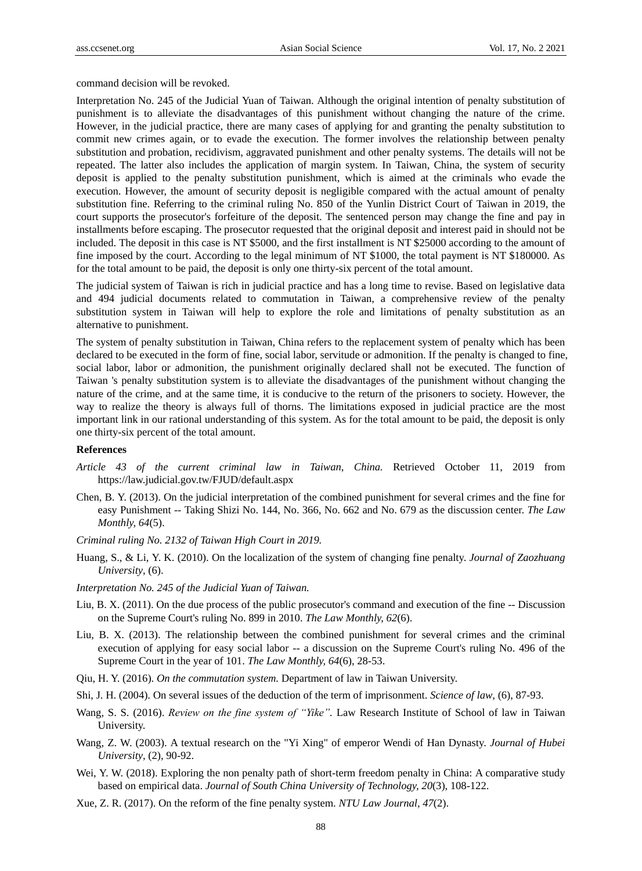command decision will be revoked.

Interpretation No. 245 of the Judicial Yuan of Taiwan. Although the original intention of penalty substitution of punishment is to alleviate the disadvantages of this punishment without changing the nature of the crime. However, in the judicial practice, there are many cases of applying for and granting the penalty substitution to commit new crimes again, or to evade the execution. The former involves the relationship between penalty substitution and probation, recidivism, aggravated punishment and other penalty systems. The details will not be repeated. The latter also includes the application of margin system. In Taiwan, China, the system of security deposit is applied to the penalty substitution punishment, which is aimed at the criminals who evade the execution. However, the amount of security deposit is negligible compared with the actual amount of penalty substitution fine. Referring to the criminal ruling No. 850 of the Yunlin District Court of Taiwan in 2019, the court supports the prosecutor's forfeiture of the deposit. The sentenced person may change the fine and pay in installments before escaping. The prosecutor requested that the original deposit and interest paid in should not be included. The deposit in this case is NT \$5000, and the first installment is NT \$25000 according to the amount of fine imposed by the court. According to the legal minimum of NT \$1000, the total payment is NT \$180000. As for the total amount to be paid, the deposit is only one thirty-six percent of the total amount.

The judicial system of Taiwan is rich in judicial practice and has a long time to revise. Based on legislative data and 494 judicial documents related to commutation in Taiwan, a comprehensive review of the penalty substitution system in Taiwan will help to explore the role and limitations of penalty substitution as an alternative to punishment.

The system of penalty substitution in Taiwan, China refers to the replacement system of penalty which has been declared to be executed in the form of fine, social labor, servitude or admonition. If the penalty is changed to fine, social labor, labor or admonition, the punishment originally declared shall not be executed. The function of Taiwan 's penalty substitution system is to alleviate the disadvantages of the punishment without changing the nature of the crime, and at the same time, it is conducive to the return of the prisoners to society. However, the way to realize the theory is always full of thorns. The limitations exposed in judicial practice are the most important link in our rational understanding of this system. As for the total amount to be paid, the deposit is only one thirty-six percent of the total amount.

### **References**

- *Article 43 of the current criminal law in Taiwan*, *China.* Retrieved October 11, 2019 from https://law.judicial.gov.tw/FJUD/default.aspx
- Chen, B. Y. (2013). On the judicial interpretation of the combined punishment for several crimes and the fine for easy Punishment -- Taking Shizi No. 144, No. 366, No. 662 and No. 679 as the discussion center. *The Law Monthly, 64*(5).
- *Criminal ruling No. 2132 of Taiwan High Court in 2019.*
- Huang, S., & Li, Y. K. (2010). On the localization of the system of changing fine penalty. *Journal of Zaozhuang University*, (6).
- *Interpretation No. 245 of the Judicial Yuan of Taiwan.*
- Liu, B. X. (2011). On the due process of the public prosecutor's command and execution of the fine -- Discussion on the Supreme Court's ruling No. 899 in 2010. *The Law Monthly, 62*(6).
- Liu, B. X. (2013). The relationship between the combined punishment for several crimes and the criminal execution of applying for easy social labor -- a discussion on the Supreme Court's ruling No. 496 of the Supreme Court in the year of 101. *The Law Monthly, 64*(6), 28-53.
- Qiu, H. Y. (2016). *On the commutation system.* Department of law in Taiwan University.
- Shi, J. H. (2004). On several issues of the deduction of the term of imprisonment. *Science of law*, (6), 87-93.
- Wang, S. S. (2016). *Review on the fine system of "Yike".* Law Research Institute of School of law in Taiwan University.
- Wang, Z. W. (2003). A textual research on the "Yi Xing" of emperor Wendi of Han Dynasty. *Journal of Hubei University*, (2), 90-92.
- Wei, Y. W. (2018). Exploring the non penalty path of short-term freedom penalty in China: A comparative study based on empirical data. *Journal of South China University of Technology, 20*(3), 108-122.
- Xue, Z. R. (2017). On the reform of the fine penalty system. *NTU Law Journal, 47*(2).